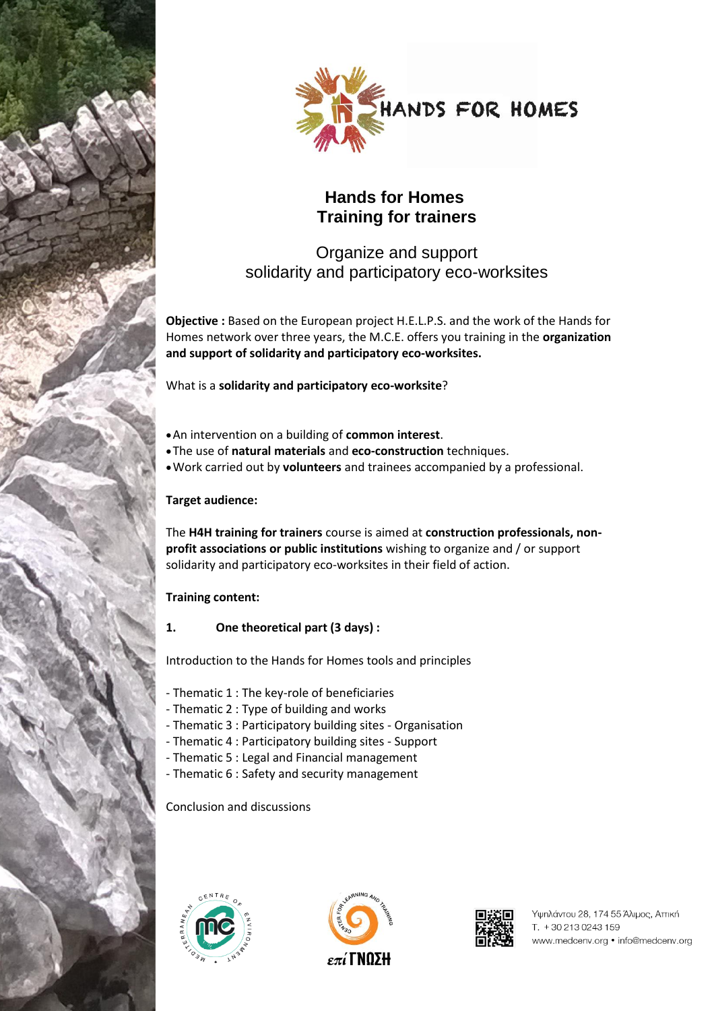



# **Hands for Homes Training for trainers**

## Organize and support solidarity and participatory eco-worksites

**Objective :** Based on the European project H.E.L.P.S. and the work of the Hands for Homes network over three years, the M.C.E. offers you training in the **organization and support of solidarity and participatory eco-worksites.**

What is a **solidarity and participatory eco-worksite**?

- An intervention on a building of **common interest**.
- The use of **natural materials** and **eco-construction** techniques.
- Work carried out by **volunteers** and trainees accompanied by a professional.

## **Target audience:**

The **H4H training for trainers** course is aimed at **construction professionals, nonprofit associations or public institutions** wishing to organize and / or support solidarity and participatory eco-worksites in their field of action.

## **Training content:**

**1. One theoretical part (3 days) :**

Introduction to the Hands for Homes tools and principles

- Thematic 1 : The key-role of beneficiaries
- Thematic 2 : Type of building and works
- Thematic 3 : Participatory building sites Organisation
- Thematic 4 : Participatory building sites Support
- Thematic 5 : Legal and Financial management
- Thematic 6 : Safety and security management

## Conclusion and discussions